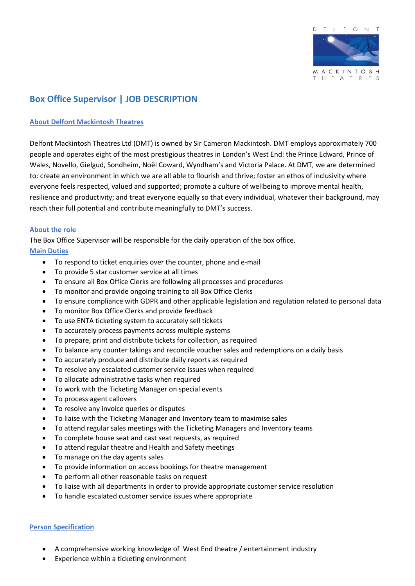

# **Box Office Supervisor | JOB DESCRIPTION**

# **About Delfont Mackintosh Theatres**

Delfont Mackintosh Theatres Ltd (DMT) is owned by Sir Cameron Mackintosh. DMT employs approximately 700 people and operates eight of the most prestigious theatres in London's West End: the Prince Edward, Prince of Wales, Novello, Gielgud, Sondheim, Noël Coward, Wyndham's and Victoria Palace. At DMT, we are determined to: create an environment in which we are all able to flourish and thrive; foster an ethos of inclusivity where everyone feels respected, valued and supported; promote a culture of wellbeing to improve mental health, resilience and productivity; and treat everyone equally so that every individual, whatever their background, may reach their full potential and contribute meaningfully to DMT's success.

### **About the role**

The Box Office Supervisor will be responsible for the daily operation of the box office.

### **Main Duties**

- To respond to ticket enquiries over the counter, phone and e-mail
- To provide 5 star customer service at all times
- To ensure all Box Office Clerks are following all processes and procedures
- To monitor and provide ongoing training to all Box Office Clerks
- To ensure compliance with GDPR and other applicable legislation and regulation related to personal data
- To monitor Box Office Clerks and provide feedback
- To use ENTA ticketing system to accurately sell tickets
- To accurately process payments across multiple systems
- To prepare, print and distribute tickets for collection, as required
- To balance any counter takings and reconcile voucher sales and redemptions on a daily basis
- To accurately produce and distribute daily reports as required
- To resolve any escalated customer service issues when required
- To allocate administrative tasks when required
- To work with the Ticketing Manager on special events
- To process agent callovers
- To resolve any invoice queries or disputes
- To liaise with the Ticketing Manager and Inventory team to maximise sales
- To attend regular sales meetings with the Ticketing Managers and Inventory teams
- To complete house seat and cast seat requests, as required
- To attend regular theatre and Health and Safety meetings
- To manage on the day agents sales
- To provide information on access bookings for theatre management
- To perform all other reasonable tasks on request
- To liaise with all departments in order to provide appropriate customer service resolution
- To handle escalated customer service issues where appropriate

#### **Person Specification**

- A comprehensive working knowledge of West End theatre / entertainment industry
- Experience within a ticketing environment